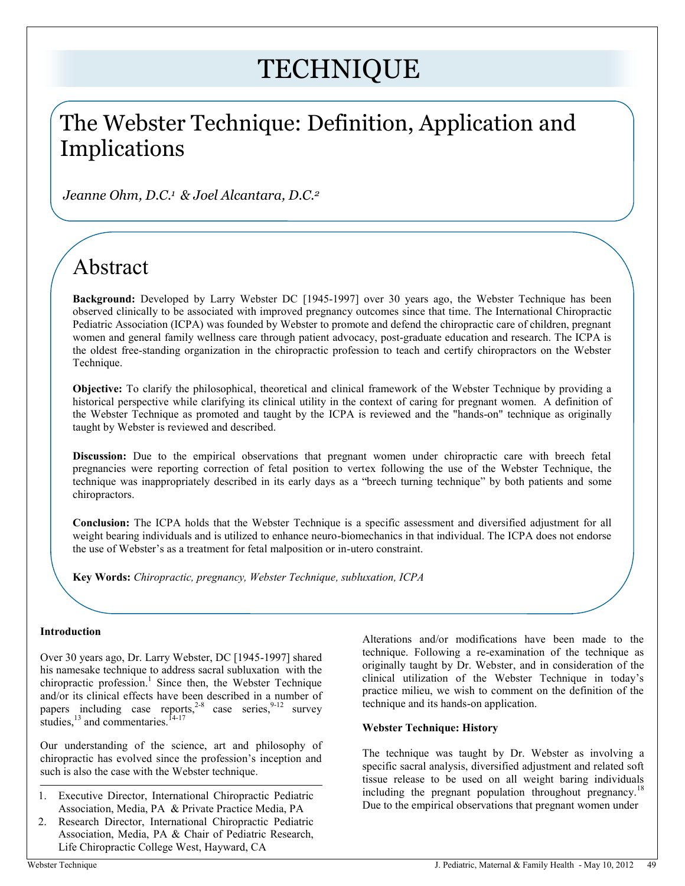# **TECHNIQUE**

# The Webster Technique: Definition, Application and Implications

*Jeanne Ohm, D.C.<sup>1</sup> & Joel Alcantara, D.C.<sup>2</sup>*

# Abstract

**Background:** Developed by Larry Webster DC [1945-1997] over 30 years ago, the Webster Technique has been observed clinically to be associated with improved pregnancy outcomes since that time. The International Chiropractic Pediatric Association (ICPA) was founded by Webster to promote and defend the chiropractic care of children, pregnant women and general family wellness care through patient advocacy, post-graduate education and research. The ICPA is the oldest free-standing organization in the chiropractic profession to teach and certify chiropractors on the Webster Technique.

**Objective:** To clarify the philosophical, theoretical and clinical framework of the Webster Technique by providing a historical perspective while clarifying its clinical utility in the context of caring for pregnant women. A definition of the Webster Technique as promoted and taught by the ICPA is reviewed and the "hands-on" technique as originally taught by Webster is reviewed and described.

**Discussion:** Due to the empirical observations that pregnant women under chiropractic care with breech fetal pregnancies were reporting correction of fetal position to vertex following the use of the Webster Technique, the technique was inappropriately described in its early days as a "breech turning technique" by both patients and some chiropractors.

**Conclusion:** The ICPA holds that the Webster Technique is a specific assessment and diversified adjustment for all weight bearing individuals and is utilized to enhance neuro-biomechanics in that individual. The ICPA does not endorse the use of Webster's as a treatment for fetal malposition or in-utero constraint.

**Key Words:** *Chiropractic, pregnancy, Webster Technique, subluxation, ICPA*

# **Introduction**

Over 30 years ago, Dr. Larry Webster, DC [1945-1997] shared his namesake technique to address sacral subluxation with the chiropractic profession. 1 Since then, the Webster Technique and/or its clinical effects have been described in a number of papers including case reports,<sup>2-8</sup> case series,<sup>9-12</sup> survey studies, $^{13}$  and commentaries.  $^{14-17}$ 

Our understanding of the science, art and philosophy of chiropractic has evolved since the profession's inception and such is also the case with the Webster technique.

- 1. Executive Director, International Chiropractic Pediatric Association, Media, PA & Private Practice Media, PA
- 2. Research Director, International Chiropractic Pediatric Association, Media, PA & Chair of Pediatric Research, Life Chiropractic College West, Hayward, CA

Alterations and/or modifications have been made to the technique. Following a re-examination of the technique as originally taught by Dr. Webster, and in consideration of the clinical utilization of the Webster Technique in today's practice milieu, we wish to comment on the definition of the technique and its hands-on application.

# **Webster Technique: History**

The technique was taught by Dr. Webster as involving a specific sacral analysis, diversified adjustment and related soft tissue release to be used on all weight baring individuals including the pregnant population throughout pregnancy.<sup>18</sup> Due to the empirical observations that pregnant women under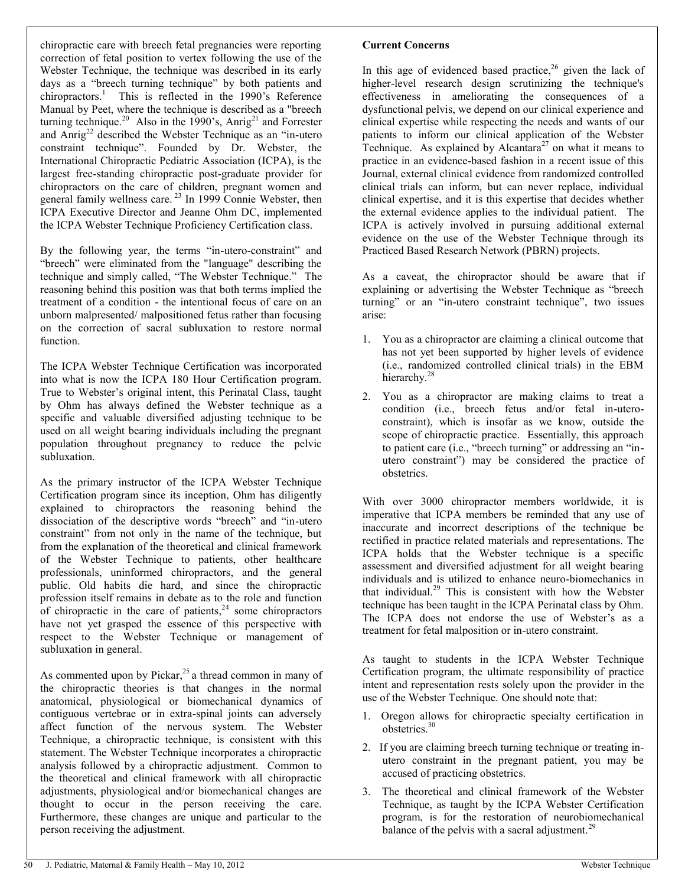chiropractic care with breech fetal pregnancies were reporting correction of fetal position to vertex following the use of the Webster Technique, the technique was described in its early days as a "breech turning technique" by both patients and chiropractors.<sup>1</sup> This is reflected in the 1990's Reference Manual by Peet, where the technique is described as a "breech turning technique.<sup>20</sup> Also in the 1990's, Anrig<sup>21</sup> and Forrester and Anrig<sup>22</sup> described the Webster Technique as an "in-utero" constraint technique". Founded by Dr. Webster, the International Chiropractic Pediatric Association (ICPA), is the largest free-standing chiropractic post-graduate provider for chiropractors on the care of children, pregnant women and general family wellness care.<sup>23</sup> In 1999 Connie Webster, then ICPA Executive Director and Jeanne Ohm DC, implemented the ICPA Webster Technique Proficiency Certification class.

By the following year, the terms "in-utero-constraint" and "breech" were eliminated from the "language" describing the technique and simply called, "The Webster Technique." The reasoning behind this position was that both terms implied the treatment of a condition - the intentional focus of care on an unborn malpresented/ malpositioned fetus rather than focusing on the correction of sacral subluxation to restore normal function.

The ICPA Webster Technique Certification was incorporated into what is now the ICPA 180 Hour Certification program. True to Webster's original intent, this Perinatal Class, taught by Ohm has always defined the Webster technique as a specific and valuable diversified adjusting technique to be used on all weight bearing individuals including the pregnant population throughout pregnancy to reduce the pelvic subluxation.

As the primary instructor of the ICPA Webster Technique Certification program since its inception, Ohm has diligently explained to chiropractors the reasoning behind the dissociation of the descriptive words "breech" and "in-utero constraint" from not only in the name of the technique, but from the explanation of the theoretical and clinical framework of the Webster Technique to patients, other healthcare professionals, uninformed chiropractors, and the general public. Old habits die hard, and since the chiropractic profession itself remains in debate as to the role and function of chiropractic in the care of patients, $24$  some chiropractors have not yet grasped the essence of this perspective with respect to the Webster Technique or management of subluxation in general.

As commented upon by Pickar,<sup>25</sup> a thread common in many of the chiropractic theories is that changes in the normal anatomical, physiological or biomechanical dynamics of contiguous vertebrae or in extra-spinal joints can adversely affect function of the nervous system. The Webster Technique, a chiropractic technique, is consistent with this statement. The Webster Technique incorporates a chiropractic analysis followed by a chiropractic adjustment. Common to the theoretical and clinical framework with all chiropractic adjustments, physiological and/or biomechanical changes are thought to occur in the person receiving the care. Furthermore, these changes are unique and particular to the person receiving the adjustment.

### **Current Concerns**

In this age of evidenced based practice,<sup>26</sup> given the lack of higher-level research design scrutinizing the technique's effectiveness in ameliorating the consequences of a dysfunctional pelvis, we depend on our clinical experience and clinical expertise while respecting the needs and wants of our patients to inform our clinical application of the Webster Technique. As explained by Alcantara<sup>27</sup> on what it means to practice in an evidence-based fashion in a recent issue of this Journal, external clinical evidence from randomized controlled clinical trials can inform, but can never replace, individual clinical expertise, and it is this expertise that decides whether the external evidence applies to the individual patient. The ICPA is actively involved in pursuing additional external evidence on the use of the Webster Technique through its Practiced Based Research Network (PBRN) projects.

As a caveat, the chiropractor should be aware that if explaining or advertising the Webster Technique as "breech turning" or an "in-utero constraint technique", two issues arise:

- 1. You as a chiropractor are claiming a clinical outcome that has not yet been supported by higher levels of evidence (i.e., randomized controlled clinical trials) in the EBM hierarchy.<sup>28</sup>
- 2. You as a chiropractor are making claims to treat a condition (i.e., breech fetus and/or fetal in-uteroconstraint), which is insofar as we know, outside the scope of chiropractic practice. Essentially, this approach to patient care (i.e., "breech turning" or addressing an "inutero constraint") may be considered the practice of obstetrics.

With over 3000 chiropractor members worldwide, it is imperative that ICPA members be reminded that any use of inaccurate and incorrect descriptions of the technique be rectified in practice related materials and representations. The ICPA holds that the Webster technique is a specific assessment and diversified adjustment for all weight bearing individuals and is utilized to enhance neuro-biomechanics in that individual.<sup>29</sup> This is consistent with how the Webster technique has been taught in the ICPA Perinatal class by Ohm. The ICPA does not endorse the use of Webster's as a treatment for fetal malposition or in-utero constraint.

As taught to students in the ICPA Webster Technique Certification program, the ultimate responsibility of practice intent and representation rests solely upon the provider in the use of the Webster Technique. One should note that:

- 1. Oregon allows for chiropractic specialty certification in obstetrics.<sup>30</sup>
- 2. If you are claiming breech turning technique or treating inutero constraint in the pregnant patient, you may be accused of practicing obstetrics.
- 3. The theoretical and clinical framework of the Webster Technique, as taught by the ICPA Webster Certification program, is for the restoration of neurobiomechanical balance of the pelvis with a sacral adjustment.<sup>29</sup>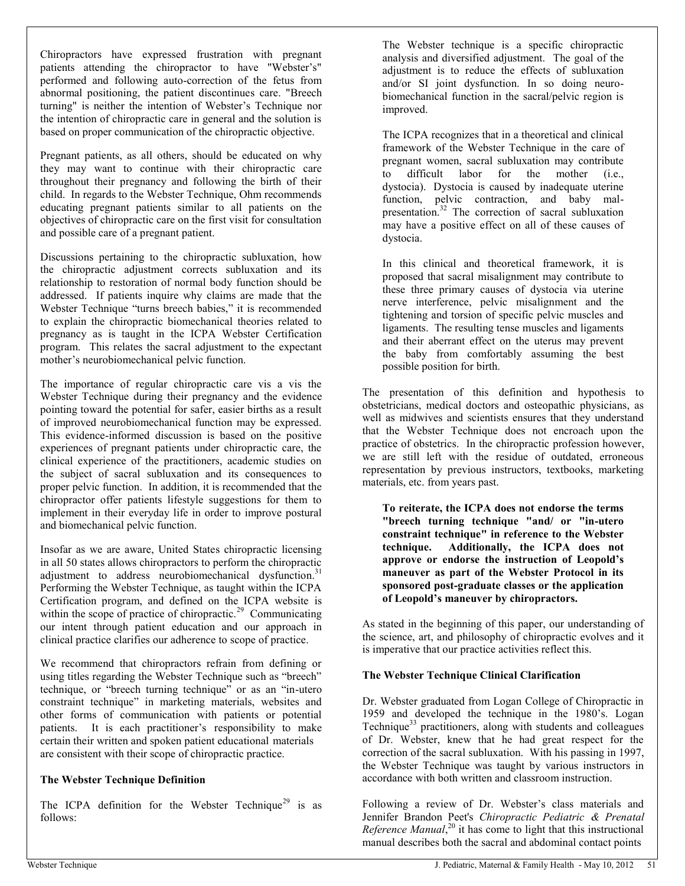Chiropractors have expressed frustration with pregnant patients attending the chiropractor to have "Webster's" performed and following auto-correction of the fetus from abnormal positioning, the patient discontinues care. "Breech turning" is neither the intention of Webster's Technique nor the intention of chiropractic care in general and the solution is based on proper communication of the chiropractic objective.

Pregnant patients, as all others, should be educated on why they may want to continue with their chiropractic care throughout their pregnancy and following the birth of their child. In regards to the Webster Technique, Ohm recommends educating pregnant patients similar to all patients on the objectives of chiropractic care on the first visit for consultation and possible care of a pregnant patient.

Discussions pertaining to the chiropractic subluxation, how the chiropractic adjustment corrects subluxation and its relationship to restoration of normal body function should be addressed. If patients inquire why claims are made that the Webster Technique "turns breech babies," it is recommended to explain the chiropractic biomechanical theories related to pregnancy as is taught in the ICPA Webster Certification program. This relates the sacral adjustment to the expectant mother's neurobiomechanical pelvic function.

The importance of regular chiropractic care vis a vis the Webster Technique during their pregnancy and the evidence pointing toward the potential for safer, easier births as a result of improved neurobiomechanical function may be expressed. This evidence-informed discussion is based on the positive experiences of pregnant patients under chiropractic care, the clinical experience of the practitioners, academic studies on the subject of sacral subluxation and its consequences to proper pelvic function. In addition, it is recommended that the chiropractor offer patients lifestyle suggestions for them to implement in their everyday life in order to improve postural and biomechanical pelvic function.

Insofar as we are aware, United States chiropractic licensing in all 50 states allows chiropractors to perform the chiropractic adjustment to address neurobiomechanical dysfunction.<sup>31</sup> Performing the Webster Technique, as taught within the ICPA Certification program, and defined on the ICPA website is within the scope of practice of chiropractic.<sup>29</sup> Communicating our intent through patient education and our approach in clinical practice clarifies our adherence to scope of practice.

We recommend that chiropractors refrain from defining or using titles regarding the Webster Technique such as "breech" technique, or "breech turning technique" or as an "in-utero constraint technique" in marketing materials, websites and other forms of communication with patients or potential patients. It is each practitioner's responsibility to make certain their written and spoken patient educational materials are consistent with their scope of chiropractic practice.

### **The Webster Technique Definition**

The ICPA definition for the Webster Technique<sup>29</sup> is as follows:

The Webster technique is a specific chiropractic analysis and diversified adjustment. The goal of the adjustment is to reduce the effects of subluxation and/or SI joint dysfunction. In so doing neurobiomechanical function in the sacral/pelvic region is improved.

The ICPA recognizes that in a theoretical and clinical framework of the Webster Technique in the care of pregnant women, sacral subluxation may contribute to difficult labor for the mother (i.e., dystocia). Dystocia is caused by inadequate uterine function, pelvic contraction, and baby malpresentation.<sup>32</sup> The correction of sacral subluxation may have a positive effect on all of these causes of dystocia.

In this clinical and theoretical framework, it is proposed that sacral misalignment may contribute to these three primary causes of dystocia via uterine nerve interference, pelvic misalignment and the tightening and torsion of specific pelvic muscles and ligaments. The resulting tense muscles and ligaments and their aberrant effect on the uterus may prevent the baby from comfortably assuming the best possible position for birth.

The presentation of this definition and hypothesis to obstetricians, medical doctors and osteopathic physicians, as well as midwives and scientists ensures that they understand that the Webster Technique does not encroach upon the practice of obstetrics. In the chiropractic profession however, we are still left with the residue of outdated, erroneous representation by previous instructors, textbooks, marketing materials, etc. from years past.

**To reiterate, the ICPA does not endorse the terms "breech turning technique "and/ or "in-utero constraint technique" in reference to the Webster** Additionally, the ICPA does not **approve or endorse the instruction of Leopold's maneuver as part of the Webster Protocol in its sponsored post-graduate classes or the application of Leopold's maneuver by chiropractors.**

As stated in the beginning of this paper, our understanding of the science, art, and philosophy of chiropractic evolves and it is imperative that our practice activities reflect this.

### **The Webster Technique Clinical Clarification**

Dr. Webster graduated from Logan College of Chiropractic in 1959 and developed the technique in the 1980's. Logan Technique<sup>33</sup> practitioners, along with students and colleagues of Dr. Webster, knew that he had great respect for the correction of the sacral subluxation. With his passing in 1997, the Webster Technique was taught by various instructors in accordance with both written and classroom instruction.

Following a review of Dr. Webster's class materials and Jennifer Brandon Peet's *Chiropractic Pediatric & Prenatal Reference Manual*, <sup>20</sup> it has come to light that this instructional manual describes both the sacral and abdominal contact points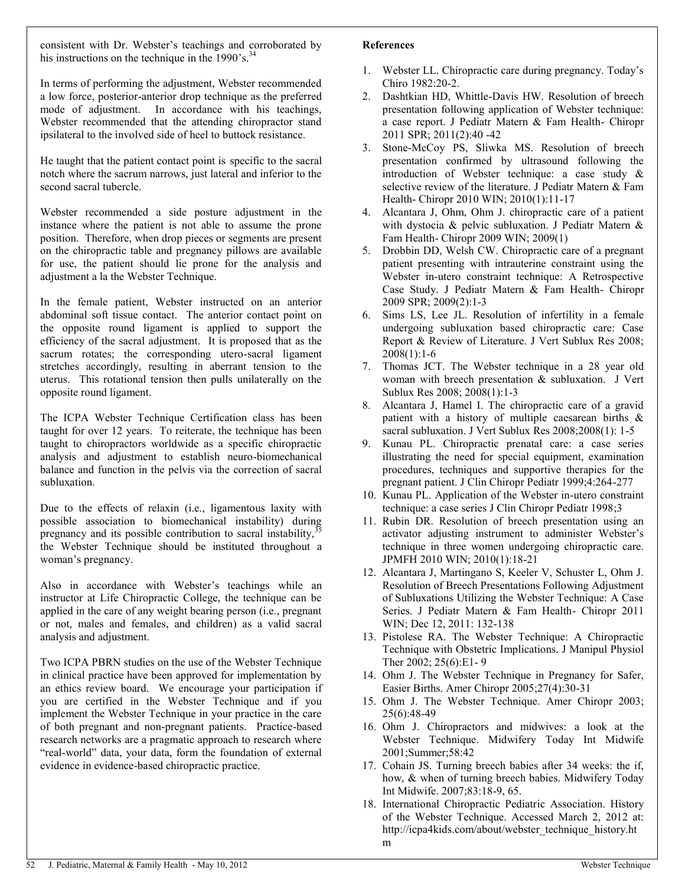consistent with Dr. Webster's teachings and corroborated by his instructions on the technique in the  $1990$ 's.<sup>34</sup>

In terms of performing the adjustment, Webster recommended a low force, posterior-anterior drop technique as the preferred mode of adjustment. In accordance with his teachings, Webster recommended that the attending chiropractor stand ipsilateral to the involved side of heel to buttock resistance.

He taught that the patient contact point is specific to the sacral notch where the sacrum narrows, just lateral and inferior to the second sacral tubercle.

Webster recommended a side posture adjustment in the instance where the patient is not able to assume the prone position. Therefore, when drop pieces or segments are present on the chiropractic table and pregnancy pillows are available for use, the patient should lie prone for the analysis and adjustment a la the Webster Technique.

In the female patient, Webster instructed on an anterior abdominal soft tissue contact. The anterior contact point on the opposite round ligament is applied to support the efficiency of the sacral adjustment. It is proposed that as the sacrum rotates; the corresponding utero-sacral ligament stretches accordingly, resulting in aberrant tension to the uterus. This rotational tension then pulls unilaterally on the opposite round ligament.

The ICPA Webster Technique Certification class has been taught for over 12 years. To reiterate, the technique has been taught to chiropractors worldwide as a specific chiropractic analysis and adjustment to establish neuro-biomechanical balance and function in the pelvis via the correction of sacral subluxation.

Due to the effects of relaxin (i.e., ligamentous laxity with possible association to biomechanical instability) during pregnancy and its possible contribution to sacral instability, $3$ the Webster Technique should be instituted throughout a woman's pregnancy.

Also in accordance with Webster's teachings while an instructor at Life Chiropractic College, the technique can be applied in the care of any weight bearing person (i.e., pregnant or not, males and females, and children) as a valid sacral analysis and adjustment.

Two ICPA PBRN studies on the use of the Webster Technique in clinical practice have been approved for implementation by an ethics review board. We encourage your participation if you are certified in the Webster Technique and if you implement the Webster Technique in your practice in the care of both pregnant and non-pregnant patients. Practice-based research networks are a pragmatic approach to research where "real-world" data, your data, form the foundation of external evidence in evidence-based chiropractic practice.

#### **References**

- 1. Webster LL. Chiropractic care during pregnancy. Today's Chiro 1982:20-2.
- 2. Dashtkian HD, Whittle-Davis HW. Resolution of breech presentation following application of Webster technique: a case report. J Pediatr Matern & Fam Health- Chiropr 2011 SPR; 2011(2):40 -42
- 3. Stone-McCoy PS, Sliwka MS. Resolution of breech presentation confirmed by ultrasound following the introduction of Webster technique: a case study & selective review of the literature. J Pediatr Matern & Fam Health- Chiropr 2010 WIN; 2010(1):11-17
- 4. Alcantara J, Ohm, Ohm J. chiropractic care of a patient with dystocia & pelvic subluxation. J Pediatr Matern & Fam Health- Chiropr 2009 WIN; 2009(1)
- 5. Drobbin DD, Welsh CW. Chiropractic care of a pregnant patient presenting with intrauterine constraint using the Webster in-utero constraint technique: A Retrospective Case Study. J Pediatr Matern & Fam Health- Chiropr 2009 SPR; 2009(2):1-3
- 6. Sims LS, Lee JL. Resolution of infertility in a female undergoing subluxation based chiropractic care: Case Report & Review of Literature. J Vert Sublux Res 2008; 2008(1):1-6
- 7. Thomas JCT. The Webster technique in a 28 year old woman with breech presentation & subluxation. J Vert Sublux Res 2008; 2008(1):1-3
- 8. Alcantara J, Hamel I. The chiropractic care of a gravid patient with a history of multiple caesarean births & sacral subluxation. J Vert Sublux Res 2008;2008(1): 1-5
- 9. Kunau PL. Chiropractic prenatal care: a case series illustrating the need for special equipment, examination procedures, techniques and supportive therapies for the pregnant patient. J Clin Chiropr Pediatr 1999;4:264-277
- 10. Kunau PL. Application of the Webster in-utero constraint technique: a case series J Clin Chiropr Pediatr 1998;3
- 11. Rubin DR. Resolution of breech presentation using an activator adjusting instrument to administer Webster's technique in three women undergoing chiropractic care. JPMFH 2010 WIN; 2010(1):18-21
- 12. Alcantara J, Martingano S, Keeler V, Schuster L, Ohm J. Resolution of Breech Presentations Following Adjustment of Subluxations Utilizing the Webster Technique: A Case Series. J Pediatr Matern & Fam Health- Chiropr 2011 WIN; Dec 12, 2011: 132-138
- 13. Pistolese RA. The Webster Technique: A Chiropractic Technique with Obstetric Implications. J Manipul Physiol Ther 2002; 25(6):E1- 9
- 14. Ohm J. The Webster Technique in Pregnancy for Safer, Easier Births. Amer Chiropr 2005;27(4):30-31
- 15. Ohm J. The Webster Technique. Amer Chiropr 2003; 25(6):48-49
- 16. Ohm J. Chiropractors and midwives: a look at the Webster Technique. Midwifery Today Int Midwife 2001;Summer;58:42
- 17. Cohain JS. Turning breech babies after 34 weeks: the if, how, & when of turning breech babies. Midwifery Today Int Midwife. 2007;83:18-9, 65.
- 18. International Chiropractic Pediatric Association. History of the Webster Technique. Accessed March 2, 2012 at: http://icpa4kids.com/about/webster\_technique\_history.ht m